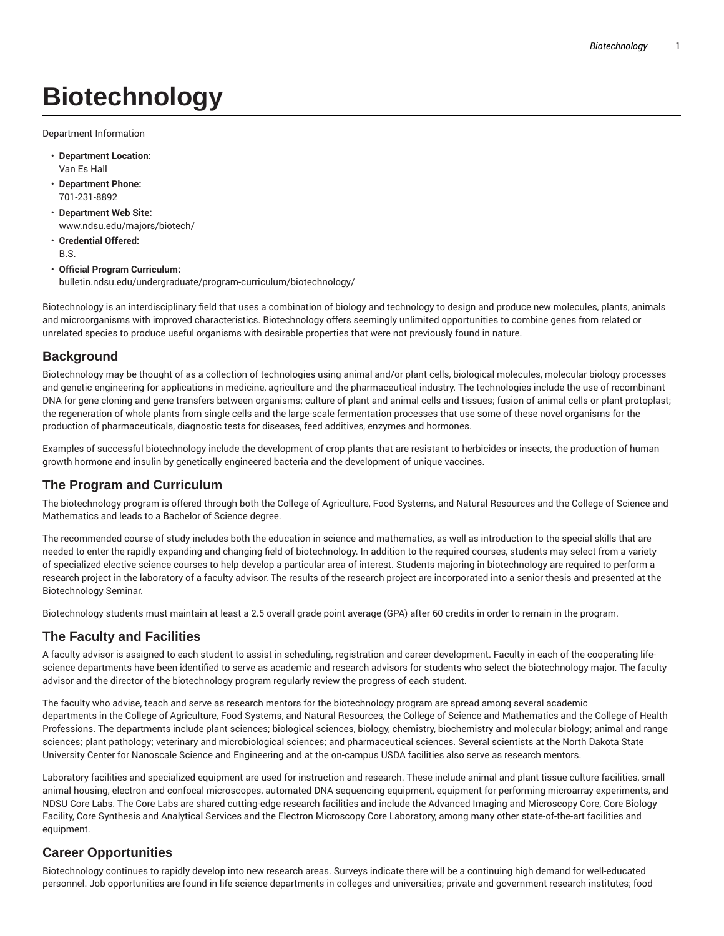# **Biotechnology**

Department Information

- **Department Location:** Van Es Hall
- **Department Phone:** 701-231-8892
- **Department Web Site:** www.ndsu.edu/majors/biotech/
- **Credential Offered:** B.S.
- **Official Program Curriculum:**

bulletin.ndsu.edu/undergraduate/program-curriculum/biotechnology/

Biotechnology is an interdisciplinary field that uses a combination of biology and technology to design and produce new molecules, plants, animals and microorganisms with improved characteristics. Biotechnology offers seemingly unlimited opportunities to combine genes from related or unrelated species to produce useful organisms with desirable properties that were not previously found in nature.

### **Background**

Biotechnology may be thought of as a collection of technologies using animal and/or plant cells, biological molecules, molecular biology processes and genetic engineering for applications in medicine, agriculture and the pharmaceutical industry. The technologies include the use of recombinant DNA for gene cloning and gene transfers between organisms; culture of plant and animal cells and tissues; fusion of animal cells or plant protoplast; the regeneration of whole plants from single cells and the large-scale fermentation processes that use some of these novel organisms for the production of pharmaceuticals, diagnostic tests for diseases, feed additives, enzymes and hormones.

Examples of successful biotechnology include the development of crop plants that are resistant to herbicides or insects, the production of human growth hormone and insulin by genetically engineered bacteria and the development of unique vaccines.

# **The Program and Curriculum**

The biotechnology program is offered through both the College of Agriculture, Food Systems, and Natural Resources and the College of Science and Mathematics and leads to a Bachelor of Science degree.

The recommended course of study includes both the education in science and mathematics, as well as introduction to the special skills that are needed to enter the rapidly expanding and changing field of biotechnology. In addition to the required courses, students may select from a variety of specialized elective science courses to help develop a particular area of interest. Students majoring in biotechnology are required to perform a research project in the laboratory of a faculty advisor. The results of the research project are incorporated into a senior thesis and presented at the Biotechnology Seminar.

Biotechnology students must maintain at least a 2.5 overall grade point average (GPA) after 60 credits in order to remain in the program.

# **The Faculty and Facilities**

A faculty advisor is assigned to each student to assist in scheduling, registration and career development. Faculty in each of the cooperating lifescience departments have been identified to serve as academic and research advisors for students who select the biotechnology major. The faculty advisor and the director of the biotechnology program regularly review the progress of each student.

The faculty who advise, teach and serve as research mentors for the biotechnology program are spread among several academic departments in the College of Agriculture, Food Systems, and Natural Resources, the College of Science and Mathematics and the College of Health Professions. The departments include plant sciences; biological sciences, biology, chemistry, biochemistry and molecular biology; animal and range sciences; plant pathology; veterinary and microbiological sciences; and pharmaceutical sciences. Several scientists at the North Dakota State University Center for Nanoscale Science and Engineering and at the on-campus USDA facilities also serve as research mentors.

Laboratory facilities and specialized equipment are used for instruction and research. These include animal and plant tissue culture facilities, small animal housing, electron and confocal microscopes, automated DNA sequencing equipment, equipment for performing microarray experiments, and NDSU Core Labs. The Core Labs are shared cutting-edge research facilities and include the Advanced Imaging and Microscopy Core, Core Biology Facility, Core Synthesis and Analytical Services and the Electron Microscopy Core Laboratory, among many other state-of-the-art facilities and equipment.

# **Career Opportunities**

Biotechnology continues to rapidly develop into new research areas. Surveys indicate there will be a continuing high demand for well-educated personnel. Job opportunities are found in life science departments in colleges and universities; private and government research institutes; food